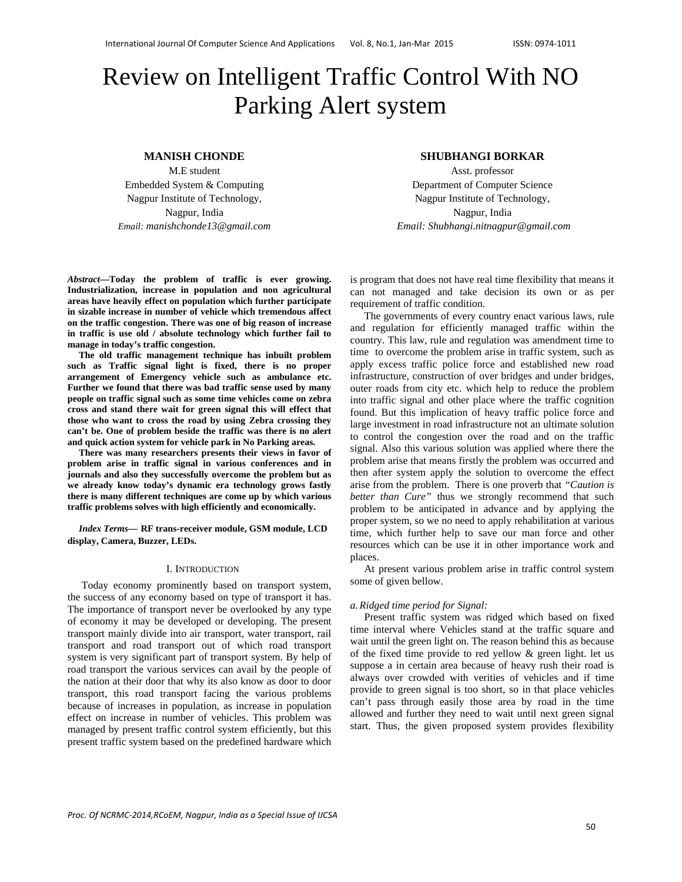# Review on Intelligent Traffic Control With NO Parking Alert system

# **MANISH CHONDE**

M.E student Embedded System & Computing Nagpur Institute of Technology, Nagpur, India *Email: manishchonde13@gmail.com* 

## *Abstract***—Today the problem of traffic is ever growing. Industrialization, increase in population and non agricultural areas have heavily effect on population which further participate in sizable increase in number of vehicle which tremendous affect on the traffic congestion. There was one of big reason of increase in traffic is use old / absolute technology which further fail to manage in today's traffic congestion.**

**The old traffic management technique has inbuilt problem such as Traffic signal light is fixed, there is no proper arrangement of Emergency vehicle such as ambulance etc. Further we found that there was bad traffic sense used by many people on traffic signal such as some time vehicles come on zebra cross and stand there wait for green signal this will effect that those who want to cross the road by using Zebra crossing they can't be. One of problem beside the traffic was there is no alert and quick action system for vehicle park in No Parking areas.** 

**There was many researchers presents their views in favor of problem arise in traffic signal in various conferences and in journals and also they successfully overcome the problem but as we already know today's dynamic era technology grows fastly there is many different techniques are come up by which various traffic problems solves with high efficiently and economically.** 

*Index Terms***— RF trans-receiver module, GSM module, LCD display, Camera, Buzzer, LEDs.** 

# I. INTRODUCTION

Today economy prominently based on transport system, the success of any economy based on type of transport it has. The importance of transport never be overlooked by any type of economy it may be developed or developing. The present transport mainly divide into air transport, water transport, rail transport and road transport out of which road transport system is very significant part of transport system. By help of road transport the various services can avail by the people of the nation at their door that why its also know as door to door transport, this road transport facing the various problems because of increases in population, as increase in population effect on increase in number of vehicles. This problem was managed by present traffic control system efficiently, but this present traffic system based on the predefined hardware which

## **SHUBHANGI BORKAR**

Asst. professor Department of Computer Science Nagpur Institute of Technology, Nagpur, India  *Email: Shubhangi.nitnagpur@gmail.com* 

is program that does not have real time flexibility that means it can not managed and take decision its own or as per requirement of traffic condition.

The governments of every country enact various laws, rule and regulation for efficiently managed traffic within the country. This law, rule and regulation was amendment time to time to overcome the problem arise in traffic system, such as apply excess traffic police force and established new road infrastructure, construction of over bridges and under bridges, outer roads from city etc. which help to reduce the problem into traffic signal and other place where the traffic cognition found. But this implication of heavy traffic police force and large investment in road infrastructure not an ultimate solution to control the congestion over the road and on the traffic signal. Also this various solution was applied where there the problem arise that means firstly the problem was occurred and then after system apply the solution to overcome the effect arise from the problem. There is one proverb that *"Caution is better than Cure"* thus we strongly recommend that such problem to be anticipated in advance and by applying the proper system, so we no need to apply rehabilitation at various time, which further help to save our man force and other resources which can be use it in other importance work and places.

At present various problem arise in traffic control system some of given bellow.

#### *a.Ridged time period for Signal:*

Present traffic system was ridged which based on fixed time interval where Vehicles stand at the traffic square and wait until the green light on. The reason behind this as because of the fixed time provide to red yellow & green light. let us suppose a in certain area because of heavy rush their road is always over crowded with verities of vehicles and if time provide to green signal is too short, so in that place vehicles can't pass through easily those area by road in the time allowed and further they need to wait until next green signal start. Thus, the given proposed system provides flexibility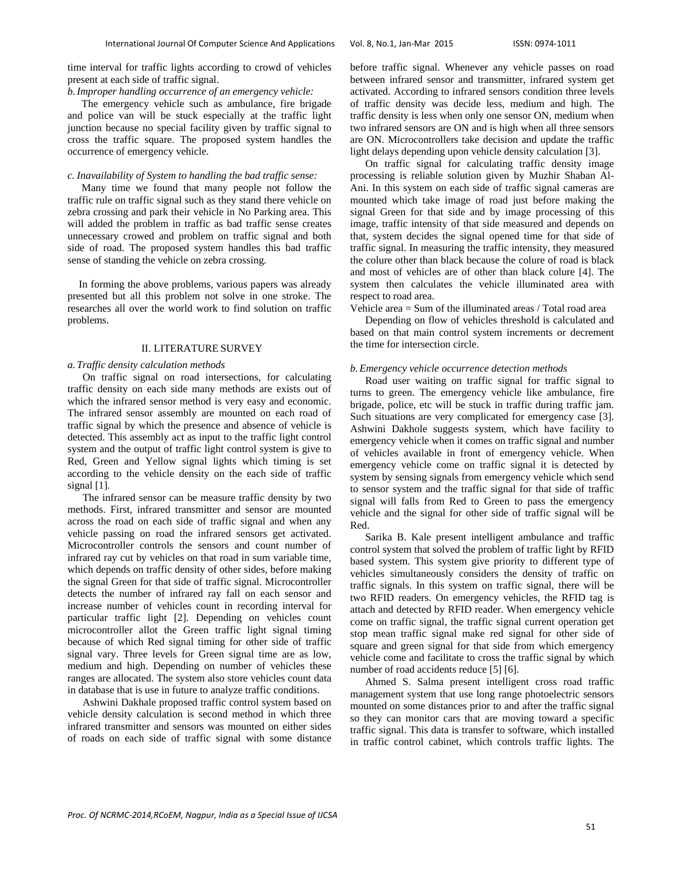time interval for traffic lights according to crowd of vehicles present at each side of traffic signal.

*b.Improper handling occurrence of an emergency vehicle:* 

The emergency vehicle such as ambulance, fire brigade and police van will be stuck especially at the traffic light junction because no special facility given by traffic signal to cross the traffic square. The proposed system handles the occurrence of emergency vehicle.

# *c. Inavailability of System to handling the bad traffic sense:*

Many time we found that many people not follow the traffic rule on traffic signal such as they stand there vehicle on zebra crossing and park their vehicle in No Parking area. This will added the problem in traffic as bad traffic sense creates unnecessary crowed and problem on traffic signal and both side of road. The proposed system handles this bad traffic sense of standing the vehicle on zebra crossing.

In forming the above problems, various papers was already presented but all this problem not solve in one stroke. The researches all over the world work to find solution on traffic problems.

# II. LITERATURE SURVEY

## *a. Traffic density calculation methods*

On traffic signal on road intersections, for calculating traffic density on each side many methods are exists out of which the infrared sensor method is very easy and economic. The infrared sensor assembly are mounted on each road of traffic signal by which the presence and absence of vehicle is detected. This assembly act as input to the traffic light control system and the output of traffic light control system is give to Red, Green and Yellow signal lights which timing is set according to the vehicle density on the each side of traffic signal [1].

The infrared sensor can be measure traffic density by two methods. First, infrared transmitter and sensor are mounted across the road on each side of traffic signal and when any vehicle passing on road the infrared sensors get activated. Microcontroller controls the sensors and count number of infrared ray cut by vehicles on that road in sum variable time, which depends on traffic density of other sides, before making the signal Green for that side of traffic signal. Microcontroller detects the number of infrared ray fall on each sensor and increase number of vehicles count in recording interval for particular traffic light [2]. Depending on vehicles count microcontroller allot the Green traffic light signal timing because of which Red signal timing for other side of traffic signal vary. Three levels for Green signal time are as low, medium and high. Depending on number of vehicles these ranges are allocated. The system also store vehicles count data in database that is use in future to analyze traffic conditions.

Ashwini Dakhale proposed traffic control system based on vehicle density calculation is second method in which three infrared transmitter and sensors was mounted on either sides of roads on each side of traffic signal with some distance

before traffic signal. Whenever any vehicle passes on road between infrared sensor and transmitter, infrared system get activated. According to infrared sensors condition three levels of traffic density was decide less, medium and high. The traffic density is less when only one sensor ON, medium when two infrared sensors are ON and is high when all three sensors are ON. Microcontrollers take decision and update the traffic light delays depending upon vehicle density calculation [3].

On traffic signal for calculating traffic density image processing is reliable solution given by Muzhir Shaban Al-Ani. In this system on each side of traffic signal cameras are mounted which take image of road just before making the signal Green for that side and by image processing of this image, traffic intensity of that side measured and depends on that, system decides the signal opened time for that side of traffic signal. In measuring the traffic intensity, they measured the colure other than black because the colure of road is black and most of vehicles are of other than black colure [4]. The system then calculates the vehicle illuminated area with respect to road area.

Vehicle area = Sum of the illuminated areas / Total road area

Depending on flow of vehicles threshold is calculated and based on that main control system increments or decrement the time for intersection circle.

# *b.Emergency vehicle occurrence detection methods*

Road user waiting on traffic signal for traffic signal to turns to green. The emergency vehicle like ambulance, fire brigade, police, etc will be stuck in traffic during traffic jam. Such situations are very complicated for emergency case [3]. Ashwini Dakhole suggests system, which have facility to emergency vehicle when it comes on traffic signal and number of vehicles available in front of emergency vehicle. When emergency vehicle come on traffic signal it is detected by system by sensing signals from emergency vehicle which send to sensor system and the traffic signal for that side of traffic signal will falls from Red to Green to pass the emergency vehicle and the signal for other side of traffic signal will be Red.

Sarika B. Kale present intelligent ambulance and traffic control system that solved the problem of traffic light by RFID based system. This system give priority to different type of vehicles simultaneously considers the density of traffic on traffic signals. In this system on traffic signal, there will be two RFID readers. On emergency vehicles, the RFID tag is attach and detected by RFID reader. When emergency vehicle come on traffic signal, the traffic signal current operation get stop mean traffic signal make red signal for other side of square and green signal for that side from which emergency vehicle come and facilitate to cross the traffic signal by which number of road accidents reduce [5] [6].

Ahmed S. Salma present intelligent cross road traffic management system that use long range photoelectric sensors mounted on some distances prior to and after the traffic signal so they can monitor cars that are moving toward a specific traffic signal. This data is transfer to software, which installed in traffic control cabinet, which controls traffic lights. The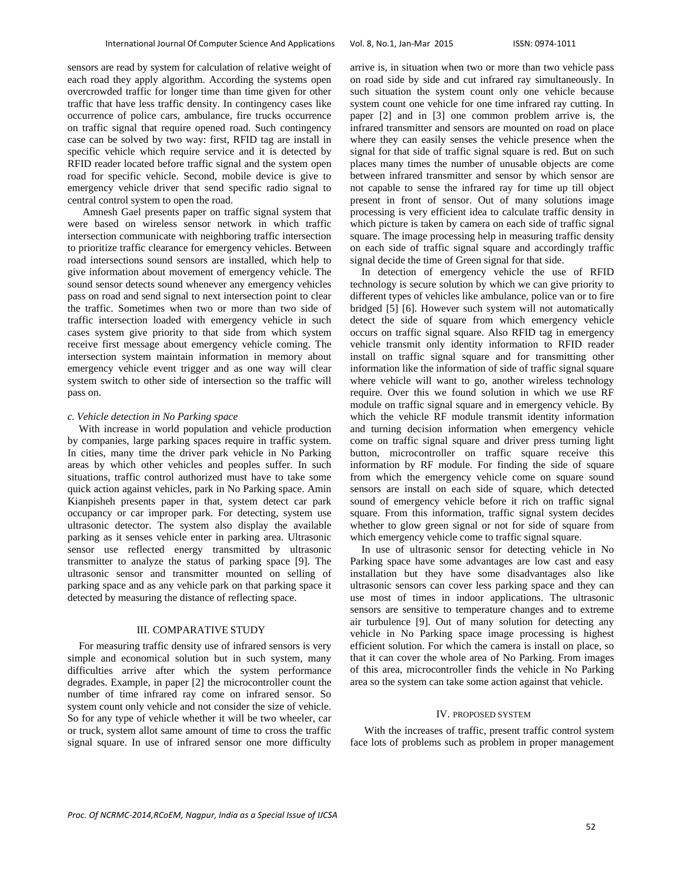sensors are read by system for calculation of relative weight of each road they apply algorithm. According the systems open overcrowded traffic for longer time than time given for other traffic that have less traffic density. In contingency cases like occurrence of police cars, ambulance, fire trucks occurrence on traffic signal that require opened road. Such contingency case can be solved by two way: first, RFID tag are install in specific vehicle which require service and it is detected by RFID reader located before traffic signal and the system open road for specific vehicle. Second, mobile device is give to emergency vehicle driver that send specific radio signal to central control system to open the road.

Amnesh Gael presents paper on traffic signal system that were based on wireless sensor network in which traffic intersection communicate with neighboring traffic intersection to prioritize traffic clearance for emergency vehicles. Between road intersections sound sensors are installed, which help to give information about movement of emergency vehicle. The sound sensor detects sound whenever any emergency vehicles pass on road and send signal to next intersection point to clear the traffic. Sometimes when two or more than two side of traffic intersection loaded with emergency vehicle in such cases system give priority to that side from which system receive first message about emergency vehicle coming. The intersection system maintain information in memory about emergency vehicle event trigger and as one way will clear system switch to other side of intersection so the traffic will pass on.

#### *c. Vehicle detection in No Parking space*

With increase in world population and vehicle production by companies, large parking spaces require in traffic system. In cities, many time the driver park vehicle in No Parking areas by which other vehicles and peoples suffer. In such situations, traffic control authorized must have to take some quick action against vehicles, park in No Parking space. Amin Kianpisheh presents paper in that, system detect car park occupancy or car improper park. For detecting, system use ultrasonic detector. The system also display the available parking as it senses vehicle enter in parking area. Ultrasonic sensor use reflected energy transmitted by ultrasonic transmitter to analyze the status of parking space [9]. The ultrasonic sensor and transmitter mounted on selling of parking space and as any vehicle park on that parking space it detected by measuring the distance of reflecting space.

# III. COMPARATIVE STUDY

For measuring traffic density use of infrared sensors is very simple and economical solution but in such system, many difficulties arrive after which the system performance degrades. Example, in paper [2] the microcontroller count the number of time infrared ray come on infrared sensor. So system count only vehicle and not consider the size of vehicle. So for any type of vehicle whether it will be two wheeler, car or truck, system allot same amount of time to cross the traffic signal square. In use of infrared sensor one more difficulty arrive is, in situation when two or more than two vehicle pass on road side by side and cut infrared ray simultaneously. In such situation the system count only one vehicle because system count one vehicle for one time infrared ray cutting. In paper [2] and in [3] one common problem arrive is, the infrared transmitter and sensors are mounted on road on place where they can easily senses the vehicle presence when the signal for that side of traffic signal square is red. But on such places many times the number of unusable objects are come between infrared transmitter and sensor by which sensor are not capable to sense the infrared ray for time up till object present in front of sensor. Out of many solutions image processing is very efficient idea to calculate traffic density in which picture is taken by camera on each side of traffic signal square. The image processing help in measuring traffic density on each side of traffic signal square and accordingly traffic signal decide the time of Green signal for that side.

In detection of emergency vehicle the use of RFID technology is secure solution by which we can give priority to different types of vehicles like ambulance, police van or to fire bridged [5] [6]. However such system will not automatically detect the side of square from which emergency vehicle occurs on traffic signal square. Also RFID tag in emergency vehicle transmit only identity information to RFID reader install on traffic signal square and for transmitting other information like the information of side of traffic signal square where vehicle will want to go, another wireless technology require. Over this we found solution in which we use RF module on traffic signal square and in emergency vehicle. By which the vehicle RF module transmit identity information and turning decision information when emergency vehicle come on traffic signal square and driver press turning light button, microcontroller on traffic square receive this information by RF module. For finding the side of square from which the emergency vehicle come on square sound sensors are install on each side of square, which detected sound of emergency vehicle before it rich on traffic signal square. From this information, traffic signal system decides whether to glow green signal or not for side of square from which emergency vehicle come to traffic signal square.

In use of ultrasonic sensor for detecting vehicle in No Parking space have some advantages are low cast and easy installation but they have some disadvantages also like ultrasonic sensors can cover less parking space and they can use most of times in indoor applications. The ultrasonic sensors are sensitive to temperature changes and to extreme air turbulence [9]. Out of many solution for detecting any vehicle in No Parking space image processing is highest efficient solution. For which the camera is install on place, so that it can cover the whole area of No Parking. From images of this area, microcontroller finds the vehicle in No Parking area so the system can take some action against that vehicle.

## IV. PROPOSED SYSTEM

With the increases of traffic, present traffic control system face lots of problems such as problem in proper management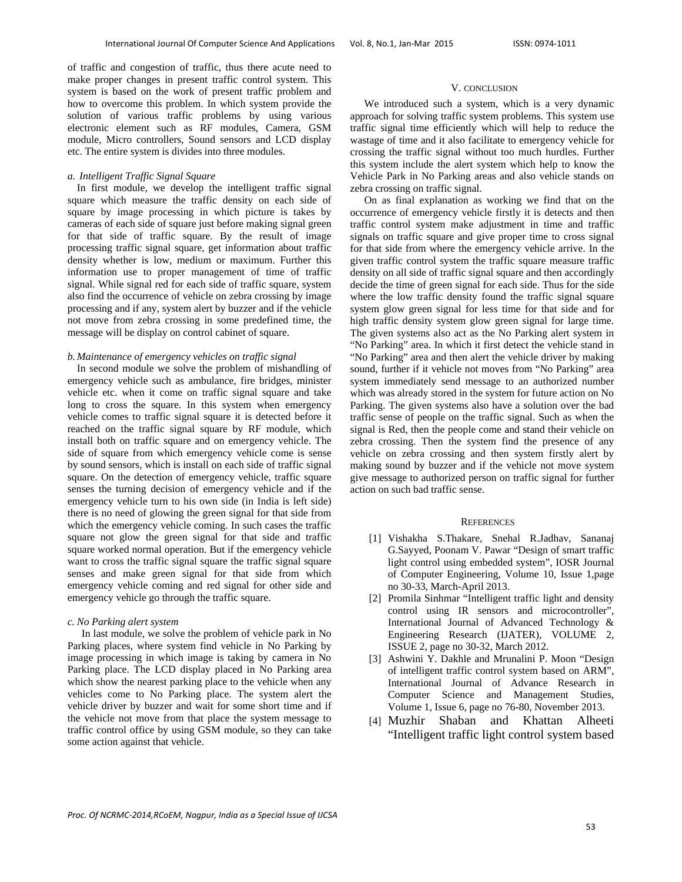of traffic and congestion of traffic, thus there acute need to make proper changes in present traffic control system. This system is based on the work of present traffic problem and how to overcome this problem. In which system provide the solution of various traffic problems by using various electronic element such as RF modules, Camera, GSM module, Micro controllers, Sound sensors and LCD display etc. The entire system is divides into three modules.

# *a. Intelligent Traffic Signal Square*

 In first module, we develop the intelligent traffic signal square which measure the traffic density on each side of square by image processing in which picture is takes by cameras of each side of square just before making signal green for that side of traffic square. By the result of image processing traffic signal square, get information about traffic density whether is low, medium or maximum. Further this information use to proper management of time of traffic signal. While signal red for each side of traffic square, system also find the occurrence of vehicle on zebra crossing by image processing and if any, system alert by buzzer and if the vehicle not move from zebra crossing in some predefined time, the message will be display on control cabinet of square.

# *b. Maintenance of emergency vehicles on traffic signal*

 In second module we solve the problem of mishandling of emergency vehicle such as ambulance, fire bridges, minister vehicle etc. when it come on traffic signal square and take long to cross the square. In this system when emergency vehicle comes to traffic signal square it is detected before it reached on the traffic signal square by RF module, which install both on traffic square and on emergency vehicle. The side of square from which emergency vehicle come is sense by sound sensors, which is install on each side of traffic signal square. On the detection of emergency vehicle, traffic square senses the turning decision of emergency vehicle and if the emergency vehicle turn to his own side (in India is left side) there is no need of glowing the green signal for that side from which the emergency vehicle coming. In such cases the traffic square not glow the green signal for that side and traffic square worked normal operation. But if the emergency vehicle want to cross the traffic signal square the traffic signal square senses and make green signal for that side from which emergency vehicle coming and red signal for other side and emergency vehicle go through the traffic square.

## *c. No Parking alert system*

 In last module, we solve the problem of vehicle park in No Parking places, where system find vehicle in No Parking by image processing in which image is taking by camera in No Parking place. The LCD display placed in No Parking area which show the nearest parking place to the vehicle when any vehicles come to No Parking place. The system alert the vehicle driver by buzzer and wait for some short time and if the vehicle not move from that place the system message to traffic control office by using GSM module, so they can take some action against that vehicle.

# V. CONCLUSION

We introduced such a system, which is a very dynamic approach for solving traffic system problems. This system use traffic signal time efficiently which will help to reduce the wastage of time and it also facilitate to emergency vehicle for crossing the traffic signal without too much hurdles. Further this system include the alert system which help to know the Vehicle Park in No Parking areas and also vehicle stands on zebra crossing on traffic signal.

On as final explanation as working we find that on the occurrence of emergency vehicle firstly it is detects and then traffic control system make adjustment in time and traffic signals on traffic square and give proper time to cross signal for that side from where the emergency vehicle arrive. In the given traffic control system the traffic square measure traffic density on all side of traffic signal square and then accordingly decide the time of green signal for each side. Thus for the side where the low traffic density found the traffic signal square system glow green signal for less time for that side and for high traffic density system glow green signal for large time. The given systems also act as the No Parking alert system in "No Parking" area. In which it first detect the vehicle stand in "No Parking" area and then alert the vehicle driver by making sound, further if it vehicle not moves from "No Parking" area system immediately send message to an authorized number which was already stored in the system for future action on No Parking. The given systems also have a solution over the bad traffic sense of people on the traffic signal. Such as when the signal is Red, then the people come and stand their vehicle on zebra crossing. Then the system find the presence of any vehicle on zebra crossing and then system firstly alert by making sound by buzzer and if the vehicle not move system give message to authorized person on traffic signal for further action on such bad traffic sense.

# **REFERENCES**

- [1] Vishakha S.Thakare, Snehal R.Jadhav, Sananaj G.Sayyed, Poonam V. Pawar "Design of smart traffic light control using embedded system", IOSR Journal of Computer Engineering, Volume 10, Issue 1,page no 30-33, March-April 2013.
- [2] Promila Sinhmar "Intelligent traffic light and density control using IR sensors and microcontroller", International Journal of Advanced Technology & Engineering Research (IJATER), VOLUME 2, ISSUE 2, page no 30-32, March 2012.
- [3] Ashwini Y. Dakhle and Mrunalini P. Moon "Design of intelligent traffic control system based on ARM", International Journal of Advance Research in Computer Science and Management Studies, Volume 1, Issue 6, page no 76-80, November 2013.
- [4] Muzhir Shaban and Khattan Alheeti "Intelligent traffic light control system based